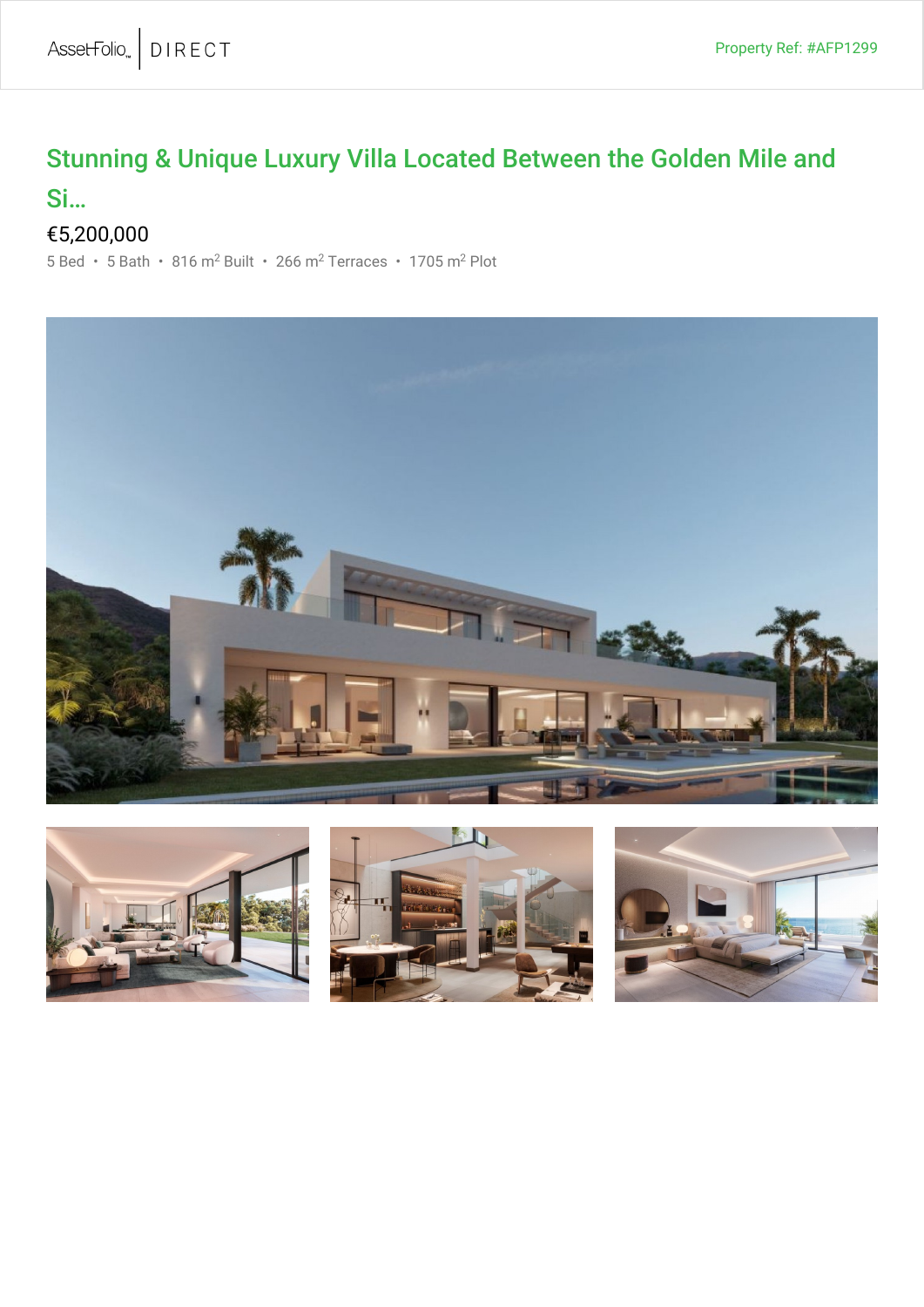## Stunning & Unique Luxury Villa Located Between the Golden Mile and

## Si…

## €5,200,000

5 Bed • 5 Bath • 816 m<sup>2</sup> Built • 266 m<sup>2</sup> Terraces • 1705 m<sup>2</sup> Plot